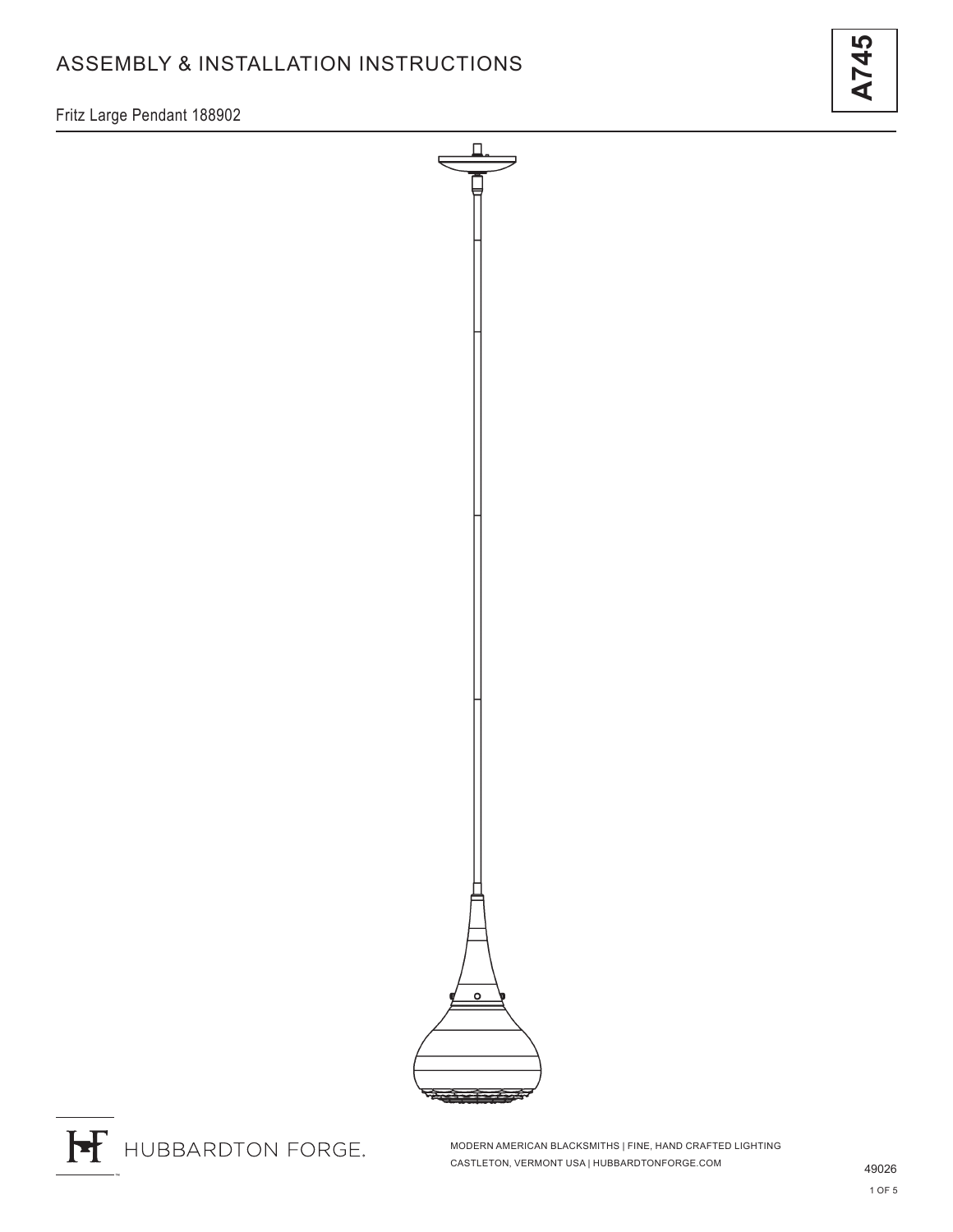# ASSEMBLY & INSTALLATION INSTRUCTIONS

**A745**

Fritz Large Pendant 188902





MODERN AMERICAN BLACKSMITHS | FINE, HAND CRAFTED LIGHTING CASTLETON, VERMONT USA | HUBBARDTONFORGE.COM 49026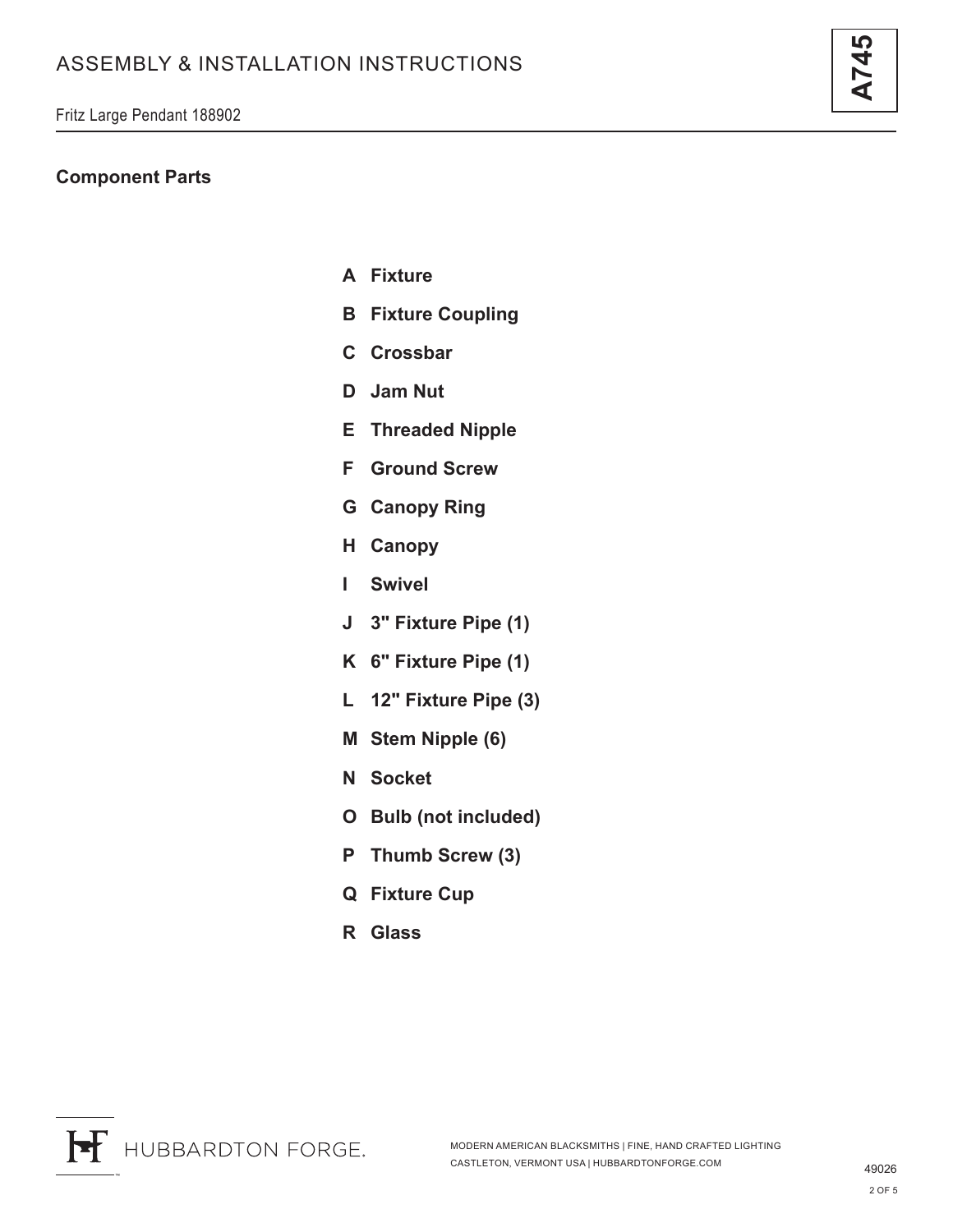#### **Component Parts**

- **A Fixture**
- **B Fixture Coupling**
- **C Crossbar**
- **D Jam Nut**
- **E Threaded Nipple**
- **F Ground Screw**
- **G Canopy Ring**
- **H Canopy**
- **I Swivel**
- **J 3" Fixture Pipe (1)**
- **K 6" Fixture Pipe (1)**
- **L 12" Fixture Pipe (3)**
- **M Stem Nipple (6)**
- **N Socket**
- **O Bulb (not included)**
- **P Thumb Screw (3)**
- **Q Fixture Cup**
- **R Glass**

**A745**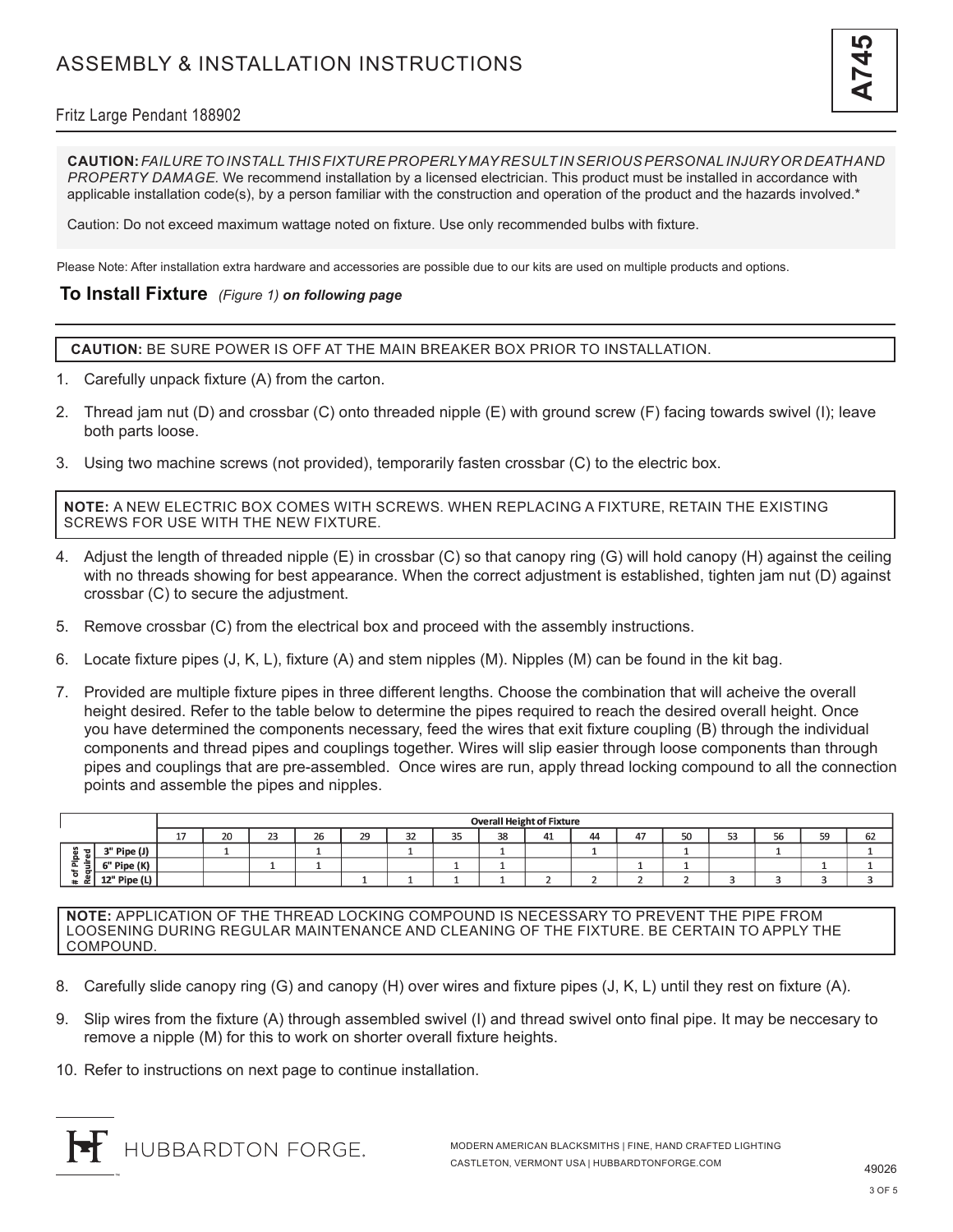## Fritz Large Pendant 188902

**CAUTION:** *FAILURE TO INSTALL THIS FIXTURE PROPERLY MAY RESULT IN SERIOUS PERSONAL INJURY OR DEATH AND PROPERTY DAMAGE.* We recommend installation by a licensed electrician. This product must be installed in accordance with applicable installation code(s), by a person familiar with the construction and operation of the product and the hazards involved.\*

Caution: Do not exceed maximum wattage noted on fixture. Use only recommended bulbs with fixture.

Please Note: After installation extra hardware and accessories are possible due to our kits are used on multiple products and options.

### **To Install Fixture** *(Figure 1) on following page*

**CAUTION:** BE SURE POWER IS OFF AT THE MAIN BREAKER BOX PRIOR TO INSTALLATION.

- 1. Carefully unpack fixture (A) from the carton.
- 2. Thread jam nut (D) and crossbar (C) onto threaded nipple (E) with ground screw (F) facing towards swivel (I); leave both parts loose.
- 3. Using two machine screws (not provided), temporarily fasten crossbar (C) to the electric box.

**NOTE:** A NEW ELECTRIC BOX COMES WITH SCREWS. WHEN REPLACING A FIXTURE, RETAIN THE EXISTING SCREWS FOR USE WITH THE NEW FIXTURE.

- 4. Adjust the length of threaded nipple (E) in crossbar (C) so that canopy ring (G) will hold canopy (H) against the ceiling with no threads showing for best appearance. When the correct adjustment is established, tighten jam nut (D) against crossbar (C) to secure the adjustment.
- 5. Remove crossbar (C) from the electrical box and proceed with the assembly instructions.
- 6. Locate fixture pipes (J, K, L), fixture (A) and stem nipples (M). Nipples (M) can be found in the kit bag.
- 7. Provided are multiple fixture pipes in three different lengths. Choose the combination that will acheive the overall height desired. Refer to the table below to determine the pipes required to reach the desired overall height. Once you have determined the components necessary, feed the wires that exit fixture coupling (B) through the individual components and thread pipes and couplings together. Wires will slip easier through loose components than through pipes and couplings that are pre-assembled. Once wires are run, apply thread locking compound to all the connection points and assemble the pipes and nipples.

|                              |                        |          | <b>Overall Height of Fixture</b> |              |    |    |    |              |    |    |    |            |    |    |    |    |    |
|------------------------------|------------------------|----------|----------------------------------|--------------|----|----|----|--------------|----|----|----|------------|----|----|----|----|----|
|                              |                        | 17<br>-- | 20                               | $\sim$<br>23 | 26 | 29 | 32 | $\sim$<br>35 | 38 | 41 | 44 | $\Delta$ 7 | 50 | 53 | 56 | 59 | 62 |
| $\mathbf{z}$<br>$\mathbf{a}$ | <sup>a"</sup> Pipe (J) |          |                                  |              |    |    |    |              |    |    |    |            |    |    | л. |    |    |
| 으<br>≔<br>௨<br>٠<br>ъ        | 6" Pipe (K)            |          |                                  |              |    |    |    |              |    |    |    |            |    |    |    |    |    |
| œ                            | 12" Pipe (L)           |          |                                  |              |    |    |    |              |    |    |    |            |    |    |    |    |    |

**NOTE:** APPLICATION OF THE THREAD LOCKING COMPOUND IS NECESSARY TO PREVENT THE PIPE FROM LOOSENING DURING REGULAR MAINTENANCE AND CLEANING OF THE FIXTURE. BE CERTAIN TO APPLY THE COMPOUND.

- 8. Carefully slide canopy ring (G) and canopy (H) over wires and fixture pipes (J, K, L) until they rest on fixture (A).
- 9. Slip wires from the fixture (A) through assembled swivel (I) and thread swivel onto final pipe. It may be neccesary to remove a nipple (M) for this to work on shorter overall fixture heights.
- 10. Refer to instructions on next page to continue installation.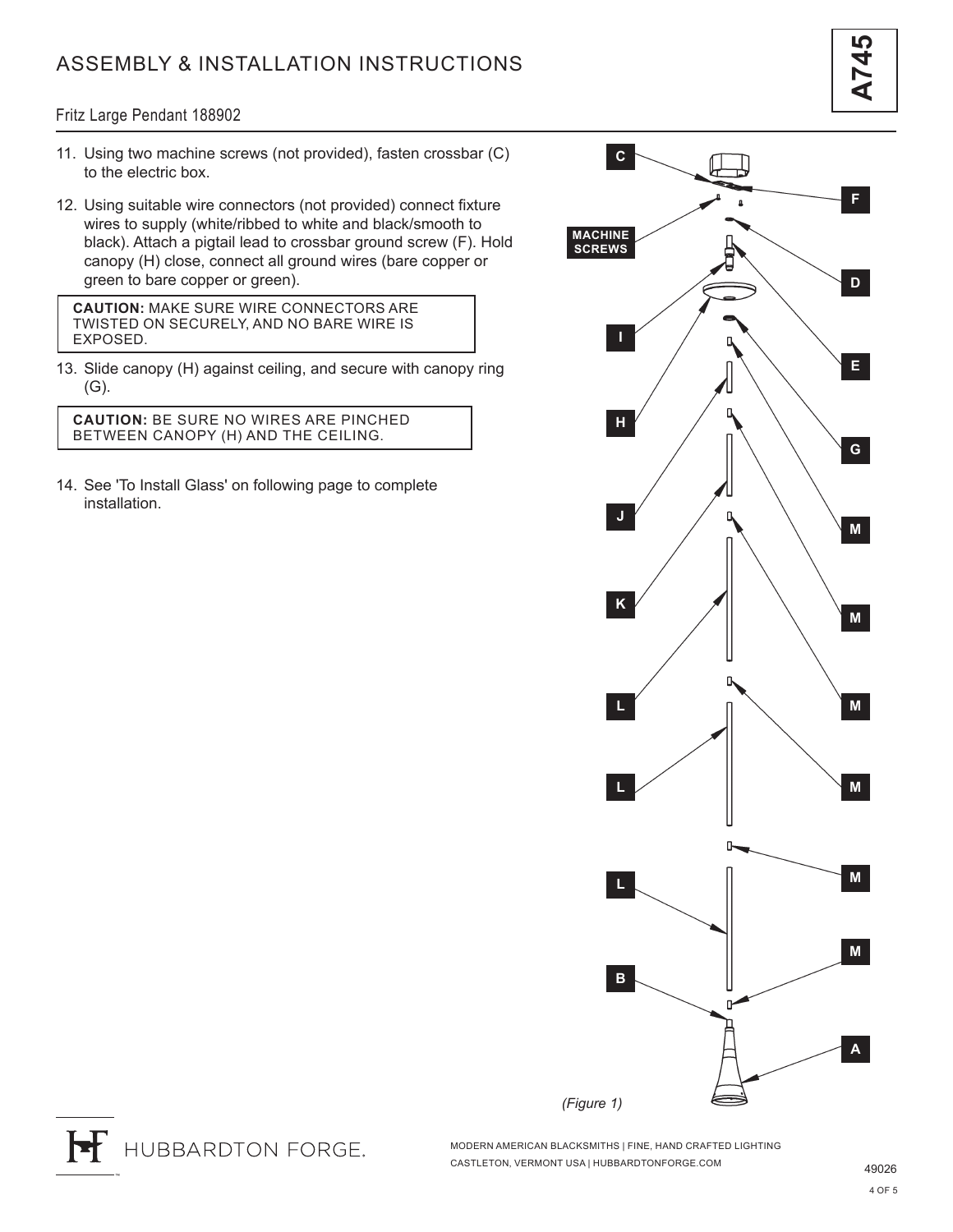# ASSEMBLY & INSTALLATION INSTRUCTIONS

#### Fritz Large Pendant 188902

- 11. Using two machine screws (not provided), fasten crossbar (C) to the electric box.
- 12. Using suitable wire connectors (not provided) connect fixture wires to supply (white/ribbed to white and black/smooth to black). Attach a pigtail lead to crossbar ground screw (F). Hold canopy (H) close, connect all ground wires (bare copper or green to bare copper or green).

**CAUTION:** MAKE SURE WIRE CONNECTORS ARE TWISTED ON SECURELY, AND NO BARE WIRE IS EXPOSED.

13. Slide canopy (H) against ceiling, and secure with canopy ring (G).

**CAUTION:** BE SURE NO WIRES ARE PINCHED BETWEEN CANOPY (H) AND THE CEILING.

14. See 'To Install Glass' on following page to complete installation.





MODERN AMERICAN BLACKSMITHS | FINE, HAND CRAFTED LIGHTING CASTLETON, VERMONT USA | HUBBARDTONFORGE.COM 49026